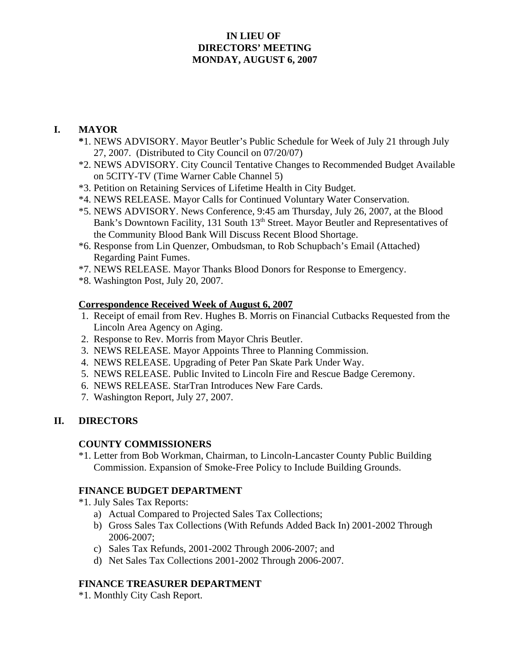### **IN LIEU OF DIRECTORS' MEETING MONDAY, AUGUST 6, 2007**

### **I. MAYOR**

- **\***1. NEWS ADVISORY. Mayor Beutler's Public Schedule for Week of July 21 through July 27, 2007. (Distributed to City Council on 07/20/07)
- \*2. NEWS ADVISORY. City Council Tentative Changes to Recommended Budget Available on 5CITY-TV (Time Warner Cable Channel 5)
- \*3. Petition on Retaining Services of Lifetime Health in City Budget.
- \*4. NEWS RELEASE. Mayor Calls for Continued Voluntary Water Conservation.
- \*5. NEWS ADVISORY. News Conference, 9:45 am Thursday, July 26, 2007, at the Blood Bank's Downtown Facility, 131 South 13<sup>th</sup> Street. Mayor Beutler and Representatives of the Community Blood Bank Will Discuss Recent Blood Shortage.
- \*6. Response from Lin Quenzer, Ombudsman, to Rob Schupbach's Email (Attached) Regarding Paint Fumes.
- \*7. NEWS RELEASE. Mayor Thanks Blood Donors for Response to Emergency.
- \*8. Washington Post, July 20, 2007.

#### **Correspondence Received Week of August 6, 2007**

- 1. Receipt of email from Rev. Hughes B. Morris on Financial Cutbacks Requested from the Lincoln Area Agency on Aging.
- 2. Response to Rev. Morris from Mayor Chris Beutler.
- 3. NEWS RELEASE. Mayor Appoints Three to Planning Commission.
- 4. NEWS RELEASE. Upgrading of Peter Pan Skate Park Under Way.
- 5. NEWS RELEASE. Public Invited to Lincoln Fire and Rescue Badge Ceremony.
- 6. NEWS RELEASE. StarTran Introduces New Fare Cards.
- 7. Washington Report, July 27, 2007.

### **II. DIRECTORS**

### **COUNTY COMMISSIONERS**

\*1. Letter from Bob Workman, Chairman, to Lincoln-Lancaster County Public Building Commission. Expansion of Smoke-Free Policy to Include Building Grounds.

#### **FINANCE BUDGET DEPARTMENT**

- \*1. July Sales Tax Reports:
	- a) Actual Compared to Projected Sales Tax Collections;
	- b) Gross Sales Tax Collections (With Refunds Added Back In) 2001-2002 Through 2006-2007;
	- c) Sales Tax Refunds, 2001-2002 Through 2006-2007; and
	- d) Net Sales Tax Collections 2001-2002 Through 2006-2007.

### **FINANCE TREASURER DEPARTMENT**

\*1. Monthly City Cash Report.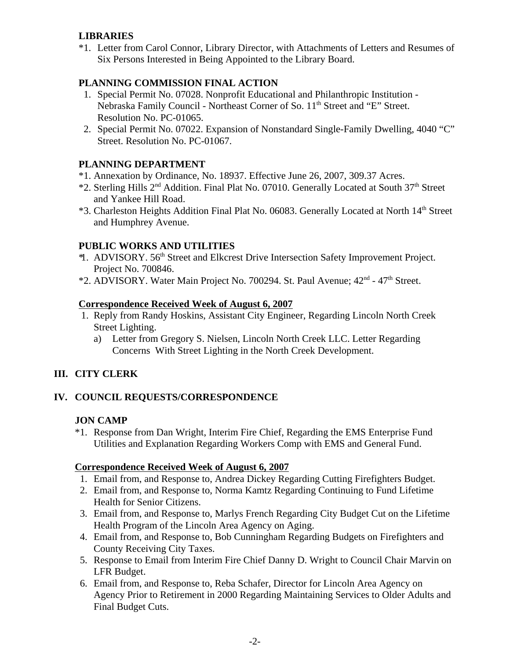# **LIBRARIES**

\*1. Letter from Carol Connor, Library Director, with Attachments of Letters and Resumes of Six Persons Interested in Being Appointed to the Library Board.

## **PLANNING COMMISSION FINAL ACTION**

- 1. Special Permit No. 07028. Nonprofit Educational and Philanthropic Institution Nebraska Family Council - Northeast Corner of So. 11<sup>th</sup> Street and "E" Street. Resolution No. PC-01065.
- 2. Special Permit No. 07022. Expansion of Nonstandard Single-Family Dwelling, 4040 "C" Street. Resolution No. PC-01067.

### **PLANNING DEPARTMENT**

- \*1. Annexation by Ordinance, No. 18937. Effective June 26, 2007, 309.37 Acres.
- \*2. Sterling Hills 2<sup>nd</sup> Addition. Final Plat No. 07010. Generally Located at South 37<sup>th</sup> Street and Yankee Hill Road.
- \*3. Charleston Heights Addition Final Plat No. 06083. Generally Located at North 14<sup>th</sup> Street and Humphrey Avenue.

# **PUBLIC WORKS AND UTILITIES**

- <sup>\*</sup>1. ADVISORY. 56<sup>th</sup> Street and Elkcrest Drive Intersection Safety Improvement Project. Project No. 700846.
- \*2. ADVISORY. Water Main Project No. 700294. St. Paul Avenue; 42nd 47th Street.

### **Correspondence Received Week of August 6, 2007**

- 1. Reply from Randy Hoskins, Assistant City Engineer, Regarding Lincoln North Creek Street Lighting.
	- a) Letter from Gregory S. Nielsen, Lincoln North Creek LLC. Letter Regarding Concerns With Street Lighting in the North Creek Development.

# **III. CITY CLERK**

### **IV. COUNCIL REQUESTS/CORRESPONDENCE**

### **JON CAMP**

\*1. Response from Dan Wright, Interim Fire Chief, Regarding the EMS Enterprise Fund Utilities and Explanation Regarding Workers Comp with EMS and General Fund.

### **Correspondence Received Week of August 6, 2007**

- 1. Email from, and Response to, Andrea Dickey Regarding Cutting Firefighters Budget.
- 2. Email from, and Response to, Norma Kamtz Regarding Continuing to Fund Lifetime Health for Senior Citizens.
- 3. Email from, and Response to, Marlys French Regarding City Budget Cut on the Lifetime Health Program of the Lincoln Area Agency on Aging.
- 4. Email from, and Response to, Bob Cunningham Regarding Budgets on Firefighters and County Receiving City Taxes.
- 5. Response to Email from Interim Fire Chief Danny D. Wright to Council Chair Marvin on LFR Budget.
- 6. Email from, and Response to, Reba Schafer, Director for Lincoln Area Agency on Agency Prior to Retirement in 2000 Regarding Maintaining Services to Older Adults and Final Budget Cuts.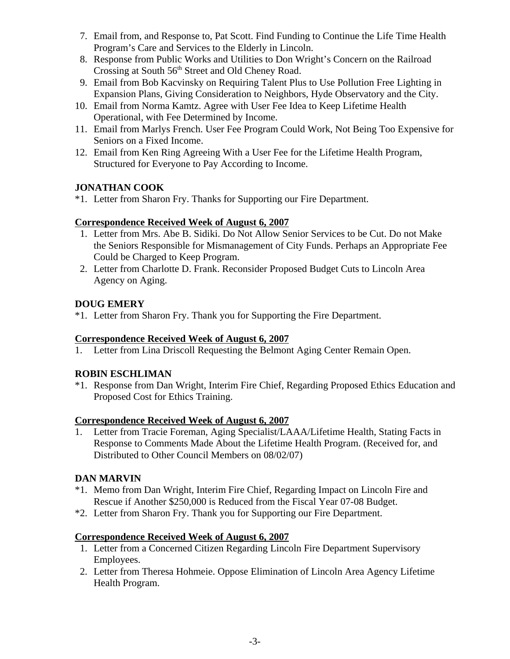- 7. Email from, and Response to, Pat Scott. Find Funding to Continue the Life Time Health Program's Care and Services to the Elderly in Lincoln.
- 8. Response from Public Works and Utilities to Don Wright's Concern on the Railroad Crossing at South 56<sup>th</sup> Street and Old Cheney Road.
- 9. Email from Bob Kacvinsky on Requiring Talent Plus to Use Pollution Free Lighting in Expansion Plans, Giving Consideration to Neighbors, Hyde Observatory and the City.
- 10. Email from Norma Kamtz. Agree with User Fee Idea to Keep Lifetime Health Operational, with Fee Determined by Income.
- 11. Email from Marlys French. User Fee Program Could Work, Not Being Too Expensive for Seniors on a Fixed Income.
- 12. Email from Ken Ring Agreeing With a User Fee for the Lifetime Health Program, Structured for Everyone to Pay According to Income.

# **JONATHAN COOK**

\*1. Letter from Sharon Fry. Thanks for Supporting our Fire Department.

### **Correspondence Received Week of August 6, 2007**

- 1. Letter from Mrs. Abe B. Sidiki. Do Not Allow Senior Services to be Cut. Do not Make the Seniors Responsible for Mismanagement of City Funds. Perhaps an Appropriate Fee Could be Charged to Keep Program.
- 2. Letter from Charlotte D. Frank. Reconsider Proposed Budget Cuts to Lincoln Area Agency on Aging.

### **DOUG EMERY**

\*1. Letter from Sharon Fry. Thank you for Supporting the Fire Department.

# **Correspondence Received Week of August 6, 2007**

1. Letter from Lina Driscoll Requesting the Belmont Aging Center Remain Open.

# **ROBIN ESCHLIMAN**

\*1. Response from Dan Wright, Interim Fire Chief, Regarding Proposed Ethics Education and Proposed Cost for Ethics Training.

### **Correspondence Received Week of August 6, 2007**

1. Letter from Tracie Foreman, Aging Specialist/LAAA/Lifetime Health, Stating Facts in Response to Comments Made About the Lifetime Health Program. (Received for, and Distributed to Other Council Members on 08/02/07)

# **DAN MARVIN**

- \*1. Memo from Dan Wright, Interim Fire Chief, Regarding Impact on Lincoln Fire and Rescue if Another \$250,000 is Reduced from the Fiscal Year 07-08 Budget.
- \*2. Letter from Sharon Fry. Thank you for Supporting our Fire Department.

### **Correspondence Received Week of August 6, 2007**

- 1. Letter from a Concerned Citizen Regarding Lincoln Fire Department Supervisory Employees.
- 2. Letter from Theresa Hohmeie. Oppose Elimination of Lincoln Area Agency Lifetime Health Program.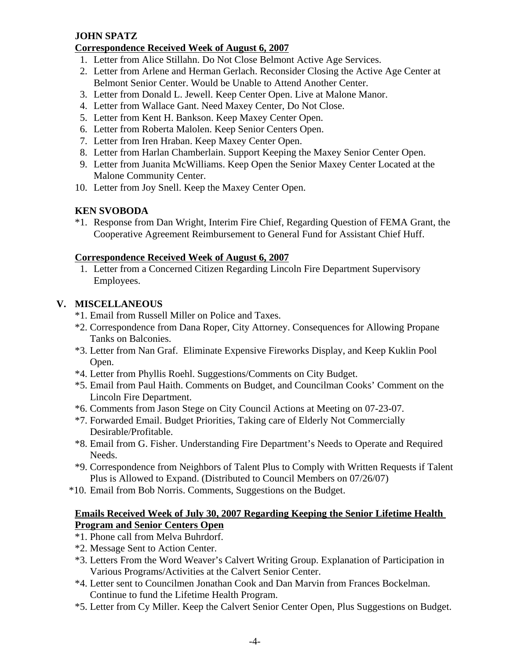## **JOHN SPATZ**

### **Correspondence Received Week of August 6, 2007**

- 1. Letter from Alice Stillahn. Do Not Close Belmont Active Age Services.
- 2. Letter from Arlene and Herman Gerlach. Reconsider Closing the Active Age Center at Belmont Senior Center. Would be Unable to Attend Another Center.
- 3. Letter from Donald L. Jewell. Keep Center Open. Live at Malone Manor.
- 4. Letter from Wallace Gant. Need Maxey Center, Do Not Close.
- 5. Letter from Kent H. Bankson. Keep Maxey Center Open.
- 6. Letter from Roberta Malolen. Keep Senior Centers Open.
- 7. Letter from Iren Hraban. Keep Maxey Center Open.
- 8. Letter from Harlan Chamberlain. Support Keeping the Maxey Senior Center Open.
- 9. Letter from Juanita McWilliams. Keep Open the Senior Maxey Center Located at the Malone Community Center.
- 10. Letter from Joy Snell. Keep the Maxey Center Open.

### **KEN SVOBODA**

\*1. Response from Dan Wright, Interim Fire Chief, Regarding Question of FEMA Grant, the Cooperative Agreement Reimbursement to General Fund for Assistant Chief Huff.

### **Correspondence Received Week of August 6, 2007**

 1. Letter from a Concerned Citizen Regarding Lincoln Fire Department Supervisory Employees.

### **V. MISCELLANEOUS**

- \*1. Email from Russell Miller on Police and Taxes.
- \*2. Correspondence from Dana Roper, City Attorney. Consequences for Allowing Propane Tanks on Balconies.
- \*3. Letter from Nan Graf. Eliminate Expensive Fireworks Display, and Keep Kuklin Pool Open.
- \*4. Letter from Phyllis Roehl. Suggestions/Comments on City Budget.
- \*5. Email from Paul Haith. Comments on Budget, and Councilman Cooks' Comment on the Lincoln Fire Department.
- \*6. Comments from Jason Stege on City Council Actions at Meeting on 07-23-07.
- \*7. Forwarded Email. Budget Priorities, Taking care of Elderly Not Commercially Desirable/Profitable.
- \*8. Email from G. Fisher. Understanding Fire Department's Needs to Operate and Required Needs.
- \*9. Correspondence from Neighbors of Talent Plus to Comply with Written Requests if Talent Plus is Allowed to Expand. (Distributed to Council Members on 07/26/07)
- \*10. Email from Bob Norris. Comments, Suggestions on the Budget.

### **Emails Received Week of July 30, 2007 Regarding Keeping the Senior Lifetime Health Program and Senior Centers Open**

- \*1. Phone call from Melva Buhrdorf.
- \*2. Message Sent to Action Center.
- \*3. Letters From the Word Weaver's Calvert Writing Group. Explanation of Participation in Various Programs/Activities at the Calvert Senior Center.
- \*4. Letter sent to Councilmen Jonathan Cook and Dan Marvin from Frances Bockelman. Continue to fund the Lifetime Health Program.
- \*5. Letter from Cy Miller. Keep the Calvert Senior Center Open, Plus Suggestions on Budget.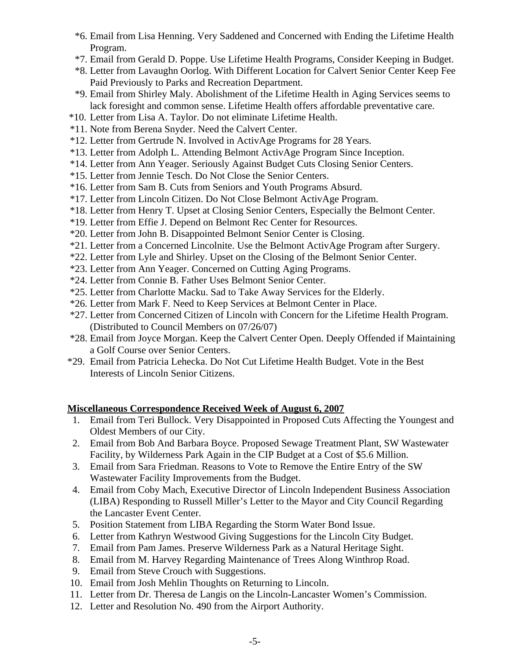- \*6. Email from Lisa Henning. Very Saddened and Concerned with Ending the Lifetime Health Program.
- \*7. Email from Gerald D. Poppe. Use Lifetime Health Programs, Consider Keeping in Budget.
- \*8. Letter from Lavaughn Oorlog. With Different Location for Calvert Senior Center Keep Fee Paid Previously to Parks and Recreation Department.
- \*9. Email from Shirley Maly. Abolishment of the Lifetime Health in Aging Services seems to lack foresight and common sense. Lifetime Health offers affordable preventative care.
- \*10. Letter from Lisa A. Taylor. Do not eliminate Lifetime Health.
- \*11. Note from Berena Snyder. Need the Calvert Center.
- \*12. Letter from Gertrude N. Involved in ActivAge Programs for 28 Years.
- \*13. Letter from Adolph L. Attending Belmont ActivAge Program Since Inception.
- \*14. Letter from Ann Yeager. Seriously Against Budget Cuts Closing Senior Centers.
- \*15. Letter from Jennie Tesch. Do Not Close the Senior Centers.
- \*16. Letter from Sam B. Cuts from Seniors and Youth Programs Absurd.
- \*17. Letter from Lincoln Citizen. Do Not Close Belmont ActivAge Program.
- \*18. Letter from Henry T. Upset at Closing Senior Centers, Especially the Belmont Center.
- \*19. Letter from Effie J. Depend on Belmont Rec Center for Resources.
- \*20. Letter from John B. Disappointed Belmont Senior Center is Closing.
- \*21. Letter from a Concerned Lincolnite. Use the Belmont ActivAge Program after Surgery.
- \*22. Letter from Lyle and Shirley. Upset on the Closing of the Belmont Senior Center.
- \*23. Letter from Ann Yeager. Concerned on Cutting Aging Programs.
- \*24. Letter from Connie B. Father Uses Belmont Senior Center.
- \*25. Letter from Charlotte Macku. Sad to Take Away Services for the Elderly.
- \*26. Letter from Mark F. Need to Keep Services at Belmont Center in Place.
- \*27. Letter from Concerned Citizen of Lincoln with Concern for the Lifetime Health Program. (Distributed to Council Members on 07/26/07)
- \*28. Email from Joyce Morgan. Keep the Calvert Center Open. Deeply Offended if Maintaining a Golf Course over Senior Centers.
- \*29. Email from Patricia Lehecka. Do Not Cut Lifetime Health Budget. Vote in the Best Interests of Lincoln Senior Citizens.

### **Miscellaneous Correspondence Received Week of August 6, 2007**

- 1. Email from Teri Bullock. Very Disappointed in Proposed Cuts Affecting the Youngest and Oldest Members of our City.
- 2. Email from Bob And Barbara Boyce. Proposed Sewage Treatment Plant, SW Wastewater Facility, by Wilderness Park Again in the CIP Budget at a Cost of \$5.6 Million.
- 3. Email from Sara Friedman. Reasons to Vote to Remove the Entire Entry of the SW Wastewater Facility Improvements from the Budget.
- 4. Email from Coby Mach, Executive Director of Lincoln Independent Business Association (LIBA) Responding to Russell Miller's Letter to the Mayor and City Council Regarding the Lancaster Event Center.
- 5. Position Statement from LIBA Regarding the Storm Water Bond Issue.
- 6. Letter from Kathryn Westwood Giving Suggestions for the Lincoln City Budget.
- 7. Email from Pam James. Preserve Wilderness Park as a Natural Heritage Sight.
- 8. Email from M. Harvey Regarding Maintenance of Trees Along Winthrop Road.
- 9. Email from Steve Crouch with Suggestions.
- 10. Email from Josh Mehlin Thoughts on Returning to Lincoln.
- 11. Letter from Dr. Theresa de Langis on the Lincoln-Lancaster Women's Commission.
- 12. Letter and Resolution No. 490 from the Airport Authority.